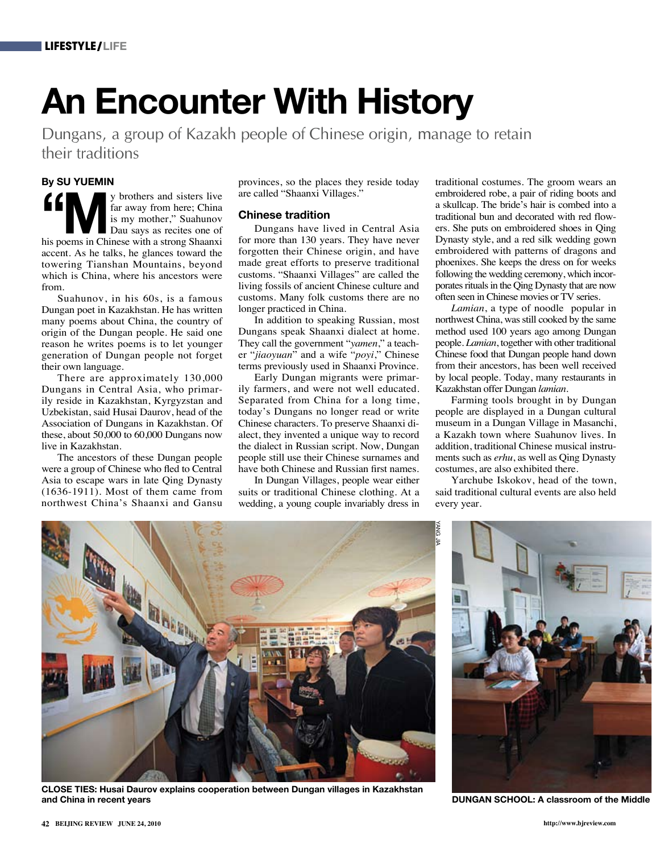# **An Encounter With History**

Dungans, a group of Kazakh people of Chinese origin, manage to retain their traditions

## **By SU YUEMIN**

**following** y brothers and sisters live far away from here; China is my mother," Suahunov Dau says as recites one of his poems in Chinese with a strong Shaanxi far away from here; China is my mother," Suahunov Dau says as recites one of accent. As he talks, he glances toward the towering Tianshan Mountains, beyond which is China, where his ancestors were from.

Suahunov, in his 60s, is a famous Dungan poet in Kazakhstan. He has written many poems about China, the country of origin of the Dungan people. He said one reason he writes poems is to let younger generation of Dungan people not forget their own language.

There are approximately 130,000 Dungans in Central Asia, who primarily reside in Kazakhstan, Kyrgyzstan and Uzbekistan, said Husai Daurov, head of the Association of Dungans in Kazakhstan. Of these, about 50,000 to 60,000 Dungans now live in Kazakhstan.

The ancestors of these Dungan people were a group of Chinese who fled to Central Asia to escape wars in late Qing Dynasty (1636-1911). Most of them came from northwest China's Shaanxi and Gansu provinces, so the places they reside today are called "Shaanxi Villages."

### **Chinese tradition**

Dungans have lived in Central Asia for more than 130 years. They have never forgotten their Chinese origin, and have made great efforts to preserve traditional customs. "Shaanxi Villages" are called the living fossils of ancient Chinese culture and customs. Many folk customs there are no longer practiced in China.

In addition to speaking Russian, most Dungans speak Shaanxi dialect at home. They call the government "*yamen*," a teacher "*jiaoyuan*" and a wife "*poyi*," Chinese terms previously used in Shaanxi Province.

Early Dungan migrants were primarily farmers, and were not well educated. Separated from China for a long time, today's Dungans no longer read or write Chinese characters. To preserve Shaanxi dialect, they invented a unique way to record the dialect in Russian script. Now, Dungan people still use their Chinese surnames and have both Chinese and Russian first names.

In Dungan Villages, people wear either suits or traditional Chinese clothing. At a wedding, a young couple invariably dress in traditional costumes. The groom wears an embroidered robe, a pair of riding boots and a skullcap. The bride's hair is combed into a traditional bun and decorated with red flowers. She puts on embroidered shoes in Qing Dynasty style, and a red silk wedding gown embroidered with patterns of dragons and phoenixes. She keeps the dress on for weeks following the wedding ceremony, which incorporates rituals in the Qing Dynasty that are now often seen in Chinese movies or TV series.

*Lamian*, a type of noodle popular in northwest China, was still cooked by the same method used 100 years ago among Dungan people. *Lamian*, together with other traditional Chinese food that Dungan people hand down from their ancestors, has been well received by local people. Today, many restaurants in Kazakhstan offer Dungan *lamian*.

Farming tools brought in by Dungan people are displayed in a Dungan cultural museum in a Dungan Village in Masanchi, a Kazakh town where Suahunov lives. In addition, traditional Chinese musical instruments such as *erhu*, as well as Qing Dynasty costumes, are also exhibited there.

Yarchube Iskokov, head of the town, said traditional cultural events are also held every year.



**CLOSE TIES: Husai Daurov explains cooperation between Dungan villages in Kazakhstan** 

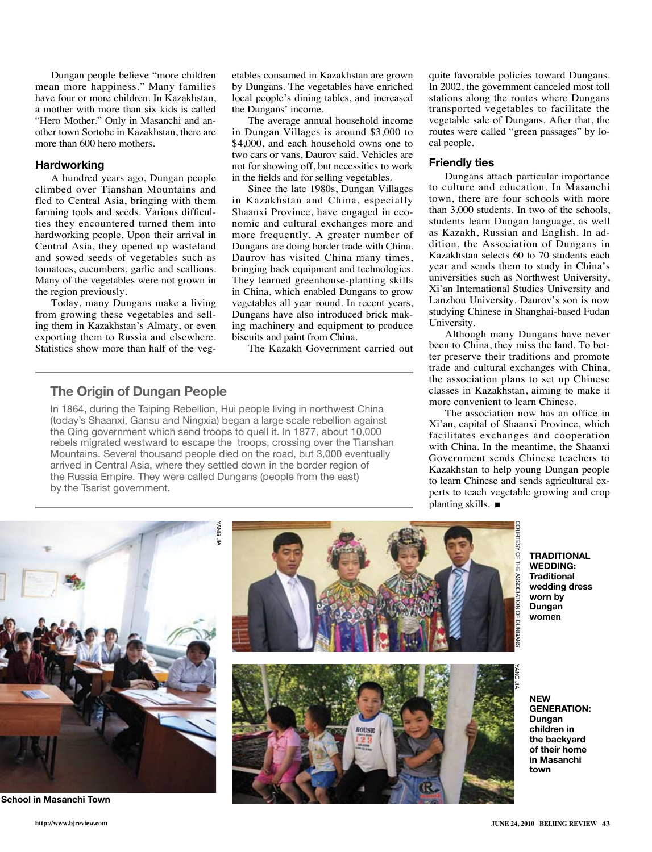Dungan people believe "more children mean more happiness." Many families have four or more children. In Kazakhstan, a mother with more than six kids is called "Hero Mother." Only in Masanchi and another town Sortobe in Kazakhstan, there are more than 600 hero mothers.

#### **Hardworking**

A hundred years ago, Dungan people climbed over Tianshan Mountains and fled to Central Asia, bringing with them farming tools and seeds. Various difficulties they encountered turned them into hardworking people. Upon their arrival in Central Asia, they opened up wasteland and sowed seeds of vegetables such as tomatoes, cucumbers, garlic and scallions. Many of the vegetables were not grown in the region previously.

Today, many Dungans make a living from growing these vegetables and selling them in Kazakhstan's Almaty, or even exporting them to Russia and elsewhere. Statistics show more than half of the veg-

etables consumed in Kazakhstan are grown by Dungans. The vegetables have enriched local people's dining tables, and increased the Dungans' income.

The average annual household income in Dungan Villages is around \$3,000 to \$4,000, and each household owns one to two cars or vans, Daurov said. Vehicles are not for showing off, but necessities to work in the fields and for selling vegetables.

Since the late 1980s, Dungan Villages in Kazakhstan and China, especially Shaanxi Province, have engaged in economic and cultural exchanges more and more frequently. A greater number of Dungans are doing border trade with China. Daurov has visited China many times, bringing back equipment and technologies. They learned greenhouse-planting skills in China, which enabled Dungans to grow vegetables all year round. In recent years, Dungans have also introduced brick making machinery and equipment to produce biscuits and paint from China.

The Kazakh Government carried out

## **The Origin of Dungan People**

In 1864, during the Taiping Rebellion, Hui people living in northwest China (today's Shaanxi, Gansu and Ningxia) began a large scale rebellion against the Qing government which send troops to quell it. In 1877, about 10,000 rebels migrated westward to escape the troops, crossing over the Tianshan Mountains. Several thousand people died on the road, but 3,000 eventually arrived in Central Asia, where they settled down in the border region of the Russia Empire. They were called Dungans (people from the east) by the Tsarist government.

quite favorable policies toward Dungans. In 2002, the government canceled most toll stations along the routes where Dungans transported vegetables to facilitate the vegetable sale of Dungans. After that, the routes were called "green passages" by local people.

#### **Friendly ties**

Dungans attach particular importance to culture and education. In Masanchi town, there are four schools with more than 3,000 students. In two of the schools, students learn Dungan language, as well as Kazakh, Russian and English. In addition, the Association of Dungans in Kazakhstan selects 60 to 70 students each year and sends them to study in China's universities such as Northwest University, Xi'an International Studies University and Lanzhou University. Daurov's son is now studying Chinese in Shanghai-based Fudan University.

Although many Dungans have never been to China, they miss the land. To better preserve their traditions and promote trade and cultural exchanges with China, the association plans to set up Chinese classes in Kazakhstan, aiming to make it more convenient to learn Chinese.

The association now has an office in Xi'an, capital of Shaanxi Province, which facilitates exchanges and cooperation with China. In the meantime, the Shaanxi Government sends Chinese teachers to Kazakhstan to help young Dungan people to learn Chinese and sends agricultural experts to teach vegetable growing and crop planting skills.  $\blacksquare$ 



**TRADITIONAL WEDDING: Traditional wedding dress worn by Dungan women** 

**NEW GENERATION: Dungan children in the backyard of their home in Masanchi town**